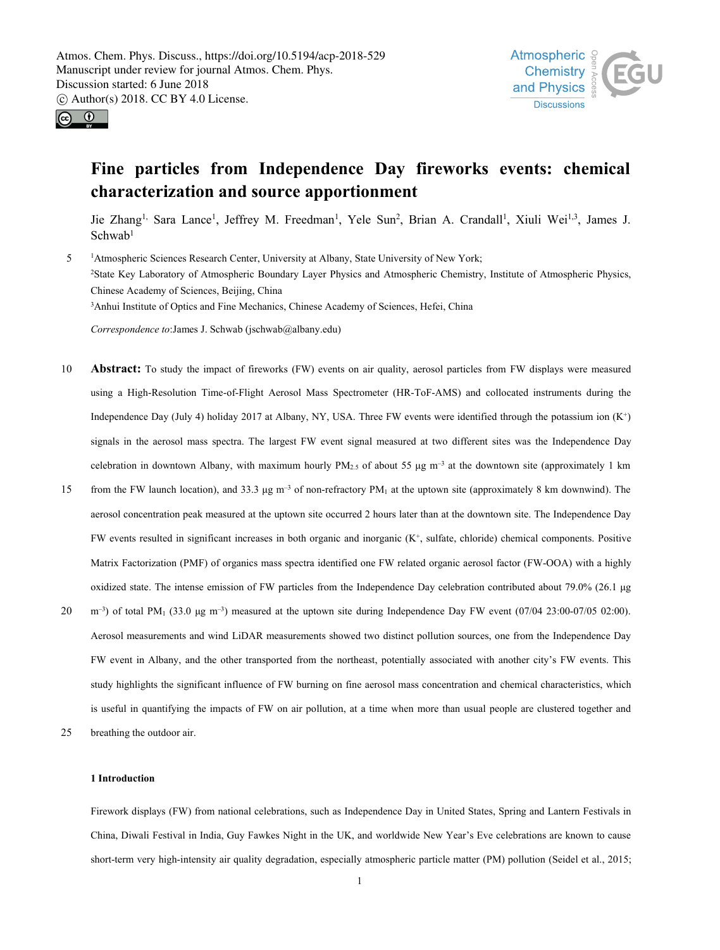



# **Fine particles from Independence Day fireworks events: chemical characterization and source apportionment**

Jie Zhang<sup>1,</sup> Sara Lance<sup>1</sup>, Jeffrey M. Freedman<sup>1</sup>, Yele Sun<sup>2</sup>, Brian A. Crandall<sup>1</sup>, Xiuli Wei<sup>1,3</sup>, James J. Schwab<sup>1</sup> 1

5 <sup>1</sup>Atmospheric Sciences Research Center, University at Albany, State University of New York; <sup>2</sup>State Key Laboratory of Atmospheric Boundary Layer Physics and Atmospheric Chemistry, Institute of Atmospheric Physics, Chinese Academy of Sciences, Beijing, China <sup>3</sup>Anhui Institute of Optics and Fine Mechanics, Chinese Academy of Sciences, Hefei, China

*Correspondence to*:James J. Schwab (jschwab@albany.edu)

- 10 **Abstract:** To study the impact of fireworks (FW) events on air quality, aerosol particles from FW displays were measured using a High-Resolution Time-of-Flight Aerosol Mass Spectrometer (HR-ToF-AMS) and collocated instruments during the Independence Day (July 4) holiday 2017 at Albany, NY, USA. Three FW events were identified through the potassium ion  $(K^+)$  $\overline{\phantom{a}}$ signals in the aerosolmass spectra. The largest FW event signal measured at two different sites was the Independence Day celebration in downtown Albany, with maximum hourly PM<sub>2.5</sub> of about 55  $\mu$ g m<sup>-3</sup> at the downtown site (approximately 1 km
- from the FW launch location), and 33.3  $\mu$ g m<sup>-3</sup> of non-refractory PM<sub>1</sub> at the uptown site (approximately 8 km downwind). The aerosol concentration peak measured at the uptown site occurred 2 hours later than at the downtown site. The Independence Day FW events resulted in significant increases in both organic and inorganic (K<sup>+</sup> , sulfate, chloride) chemical components. Positive Matrix Factorization (PMF) of organics mass spectra identified one FW related organic aerosol factor (FW-OOA) with a highly oxidized state. The intense emission of FW particles from the IndependenceDay celebration contributed about 79.0% (26.1 μg
- $m^{-3}$ ) of total PM<sub>1</sub> (33.0 μg m<sup>-3</sup>) measured at the uptown site during Independence Day FW event (07/04 23:00-07/05 02:00). Aerosol measurements and wind LiDAR measurements showed two distinct pollution sources, one from the Independence Day FW event in Albany, and the other transported from the northeast, potentially associated with another city's FW events. This study highlights the significant influence of FW burning on fine aerosol mass concentration and chemical characteristics, which is useful in quantifying the impacts ofFW on air pollution, at a time when more than usual people are clustered together and
- 25 breathing the outdoor air.

# **1 Introduction**

Firework displays (FW) from national celebrations, such as Independence Day in United States, Spring and Lantern Festivals in China, Diwali Festival in India, Guy Fawkes Night in the UK, and worldwide New Year's Eve celebrations are known to cause short-term very high-intensity air quality degradation, especially atmospheric particle matter (PM) pollution (Seidel et al., 2015;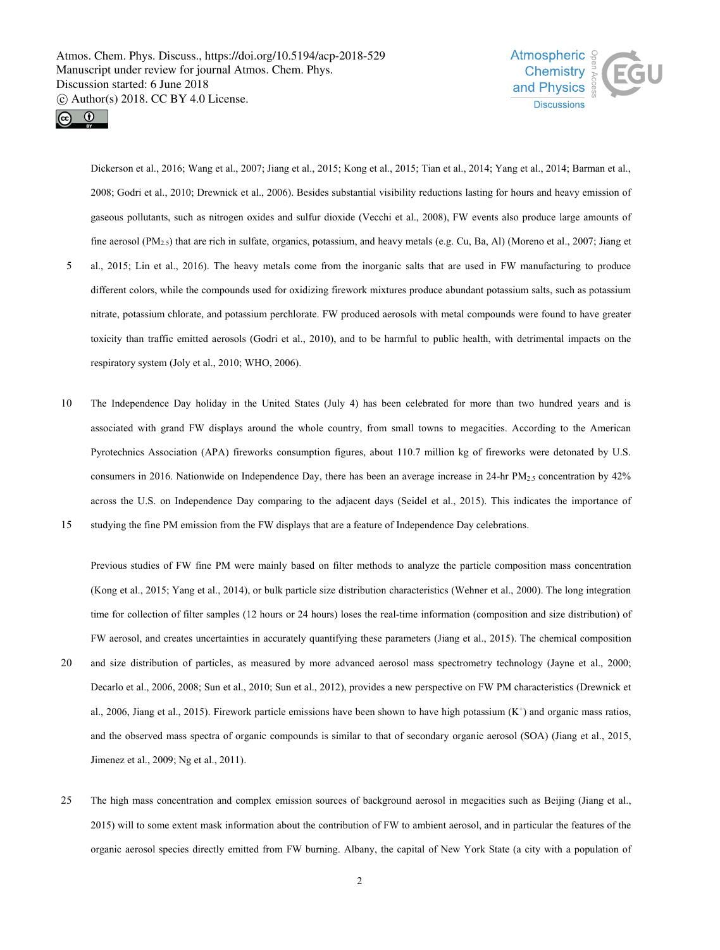



Dickerson et al., 2016; Wang et al., 2007; Jiang et al., 2015; Kong et al., 2015; Tian et al., 2014; Yang et al., 2014; Barman et al., 2008; Godri et al., 2010; Drewnick et al., 2006). Besides substantial visibility reductions lasting for hours and heavy emission of gaseous pollutants, such as nitrogen oxides and sulfur dioxide (Vecchi et al., 2008), FW events also produce large amounts of fine aerosol (PM2.5) that are rich in sulfate, organics, potassium, and heavy metals (e.g. Cu, Ba, Al) (Moreno et al., 2007; Jiang et

- 5 al., 2015; Lin et al., 2016). The heavy metals come from the inorganic salts that are used in FW manufacturing to produce different colors, while the compounds used for oxidizing firework mixtures produce abundant potassium salts, such as potassium nitrate, potassium chlorate, and potassium perchlorate. FW produced aerosols with metal compounds were found to have greater toxicity than traffic emitted aerosols (Godri et al., 2010), and to be harmful to public health, with detrimental impacts on the respiratory system (Joly et al., 2010; WHO, 2006).
- 10 The Independence Day holiday in the United States (July 4) has been celebrated for more than two hundred years and is associated with grand FW displays around the whole country, from small towns to megacities. According to the American Pyrotechnics Association (APA) fireworks consumption figures, about 110.7 million kg of fireworks were detonated by U.S. consumers in 2016. Nationwide on Independence Day, there has been an average increase in 24-hr  $PM_{2.5}$  concentration by 42% across the U.S. on Independence Day comparing to the adjacent days (Seidel et al., 2015). This indicates the importance of
- 15 studying the fine PM emission from the FW displays that are a feature of Independence Day celebrations.

Previous studies of FW fine PM were mainly based on filter methods to analyze the particle composition mass concentration (Kong et al., 2015; Yang et al., 2014), or bulk particle size distribution characteristics (Wehner et al., 2000). The long integration time for collection of filter samples (12 hours or 24 hours) loses the real-time information (composition and size distribution) of FW aerosol, and creates uncertainties in accurately quantifying these parameters (Jiang et al., 2015). The chemical composition

- 20 and size distribution of particles, as measured by more advanced aerosol mass spectrometry technology (Jayne et al., 2000; Decarlo et al., 2006, 2008; Sun et al., 2010; Sun et al., 2012), provides a new perspective on FW PM characteristics (Drewnick et al., 2006, Jiang et al., 2015). Firework particle emissions have been shown to have high potassium (K<sup>+</sup>) and organic mass ratios, and the observed mass spectra of organic compounds is similar to that of secondary organic aerosol (SOA) (Jiang et al., 2015, Jimenez et al., 2009; Ng et al., 2011).
- 25 The high mass concentration and complex emission sources of background aerosol in megacities such as Beijing (Jiang et al., 2015) will to some extent mask information about the contribution of FW to ambient aerosol, and in particular the features of the organic aerosol species directly emitted from FW burning. Albany, the capital of New York State (a city with a population of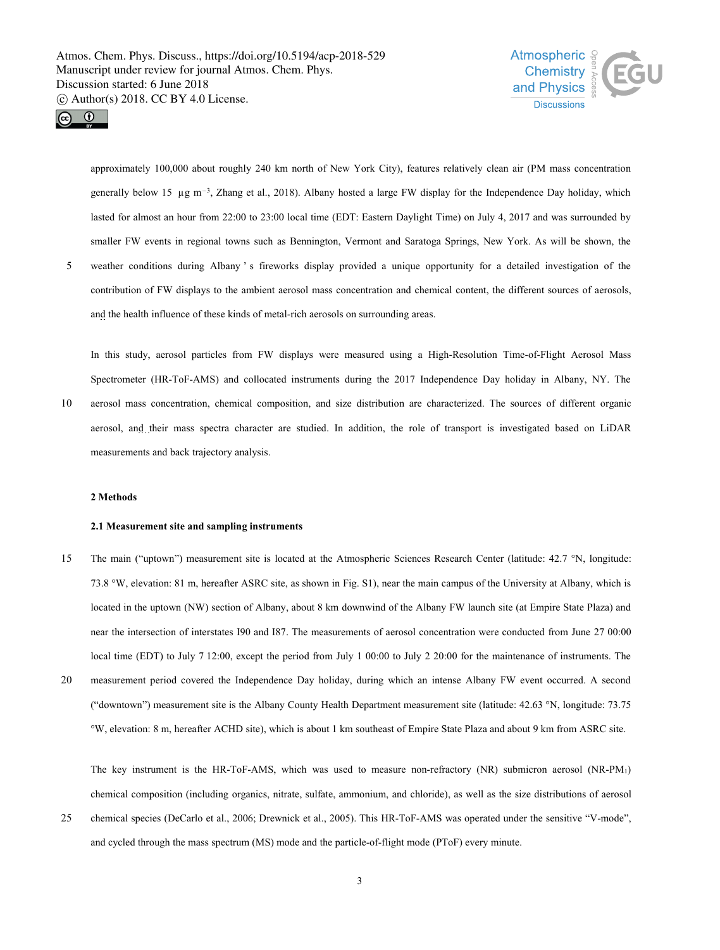



approximately 100,000 about roughly 240 km north of New York City), features relatively clean air (PM mass concentration generally below 15  $\mu$ g m<sup>-3</sup>, Zhang et al., 2018). Albany hosted a large FW display for the Independence Day holiday, which lasted for almost an hour from 22:00 to 23:00 local time (EDT: Eastern Daylight Time) on July 4, 2017 and was surrounded by smaller FW events in regional towns such as Bennington, Vermont and Saratoga Springs, New York. As will be shown, the

5 weather conditions during Albany ' s fireworks display provided a unique opportunity for a detailed investigation of the contribution of FW displays to the ambient aerosol mass concentration and chemical content, the different sources of aerosols, and the health influence of these kinds of metal-rich aerosols on surrounding areas.

In this study, aerosol particles from FW displays were measured using a High-Resolution Time-of-Flight Aerosol Mass Spectrometer (HR-ToF-AMS) and collocated instruments during the 2017 Independence Day holiday in Albany, NY. The 10 aerosol mass concentration, chemical composition, and size distribution are characterized. The sources of different organic

aerosol, and their mass spectra character are studied. In addition, the role of transport is investigated based on LiDAR measurements and back trajectory analysis.

# **2 Methods**

# **2.1 Measurement site and sampling instruments**

- 15 The main ("uptown") measurement site is located at the Atmospheric Sciences Research Center (latitude: 42.7 °N, longitude: 73.8 °W, elevation: 81 m, hereafter ASRC site, as shown in Fig. S1), near the main campus of the University at Albany, which is located in the uptown (NW) section of Albany, about 8 km downwind of the Albany FW launch site (at Empire State Plaza) and near the intersection of interstates I90 and I87. The measurements of aerosol concentration were conducted from June 27 00:00 local time (EDT) to July 7 12:00, except the period from July 1 00:00 to July 2 20:00 for the maintenance of instruments. The
- 20 measurement period covered the Independence Day holiday, during which an intense Albany FW event occurred. A second ("downtown") measurement site is the Albany County Health Department measurement site (latitude:  $42.63 \text{ }^\circ\text{N}$ , longitude:  $73.75$ °W, elevation: 8 m, hereafter ACHD site), whichis about1 km southeast of Empire State Plaza and about 9 km from ASRC site.

The key instrument is the HR-ToF-AMS, which was used to measure non-refractory (NR) submicron aerosol (NR-PM1) chemical composition (including organics, nitrate, sulfate, ammonium, and chloride), as well as the size distributions of aerosol

25 chemical species (DeCarlo et al., 2006; Drewnick et al., 2005).This HR-ToF-AMS was operated under the sensitive "V-mode", and cycled through the mass spectrum (MS) mode and the particle-of-flight mode (PToF) every minute.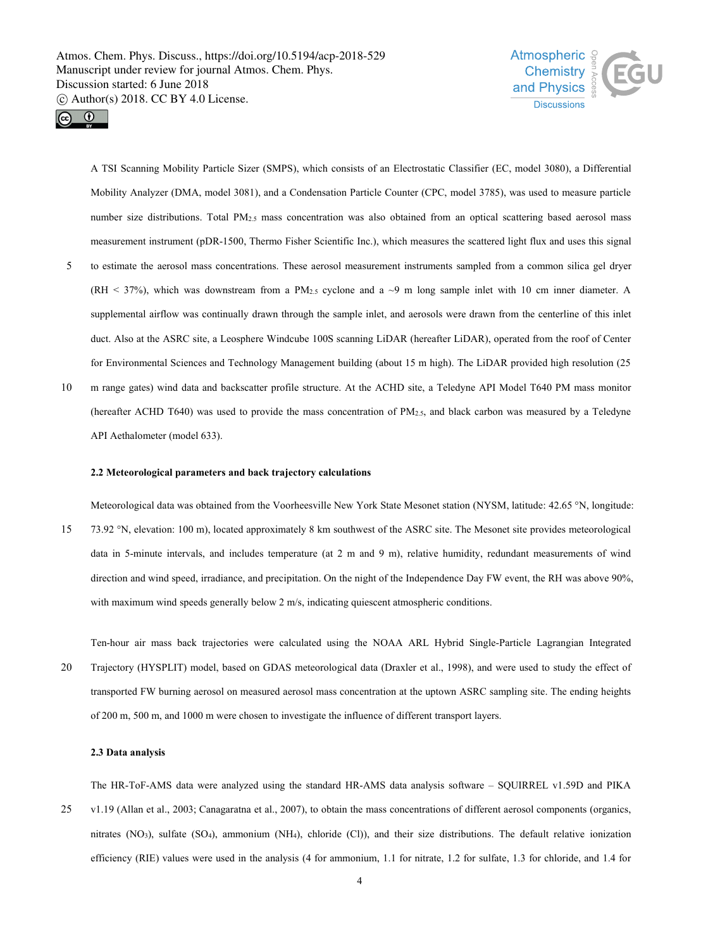



A TSI Scanning Mobility Particle Sizer (SMPS), which consists of an Electrostatic Classifier (EC, model 3080), a Differential Mobility Analyzer (DMA, model 3081), and a Condensation Particle Counter (CPC, model 3785), was used to measure particle number size distributions. Total PM<sub>2.5</sub> mass concentration was also obtained from an optical scattering based aerosol mass measurement instrument (pDR-1500, Thermo Fisher Scientific Inc.), which measures the scattered light flux and uses this signal

- 5 to estimate the aerosol mass concentrations. These aerosol measurement instruments sampled from a common silica gel dryer (RH < 37%), which was downstream from a PM<sub>2.5</sub> cyclone and a  $\sim$ 9 m long sample inlet with 10 cm inner diameter. A supplemental airflow was continually drawn through the sample inlet, and aerosols were drawn from the centerline of this inlet duct. Also at the ASRC site, a Leosphere Windcube 100S scanning LiDAR (hereafter LiDAR), operated from the roof of Center for Environmental Sciences and Technology Management building (about 15 m high). The LiDAR provided high resolution (25
- 10 m range gates) wind data and backscatter profile structure. At the ACHD site, a Teledyne API Model T640 PM mass monitor (hereafter ACHD T640) was used to provide the mass concentration of PM2.5, and black carbon was measured by a Teledyne API Aethalometer (model 633).

### **2.2 Meteorological parameters and back trajectory calculations**

Meteorological data was obtained from the Voorheesville New York State Mesonet station (NYSM, latitude: 42.65 °N, longitude: 15 73.92 °N, elevation: 100 m), located approximately 8 km southwest of the ASRC site. The Mesonet site provides meteorological data in 5-minute intervals, and includes temperature (at  $2 \text{ m}$  and  $9 \text{ m}$ ), relative humidity, redundant measurements of wind direction and wind speed, irradiance, and precipitation. On the night of the Independence Day FW event, the RH was above 90%, with maximum wind speeds generally below 2 m/s, indicating quiescent atmospheric conditions.

Ten-hour air mass back trajectories were calculated using the NOAA ARLHybrid Single-Particle Lagrangian Integrated 20 Trajectory (HYSPLIT) model, based on GDAS meteorological data (Draxler et al., 1998), and were used to study the effect of transported FW burning aerosol on measured aerosol mass concentration at the uptown ASRC sampling site. The ending heights of 200 m, 500 m, and 1000 m were chosen to investigate the influence of different transport layers.

#### **2.3 Data analysis**

The HR-ToF-AMS data were analyzed using the standard HR-AMS data analysis software – SQUIRREL v1.59D and PIKA 25 v1.19 (Allan et al., 2003; Canagaratna et al., 2007), to obtain the mass concentrations of different aerosol components (organics, nitrates (NO3), sulfate (SO4), ammonium (NH4), chloride (Cl)), and their size distributions. The default relative ionization efficiency (RIE) values were used in the analysis (4 for ammonium, 1.1 for nitrate, 1.2 for sulfate, 1.3 for chloride, and 1.4 for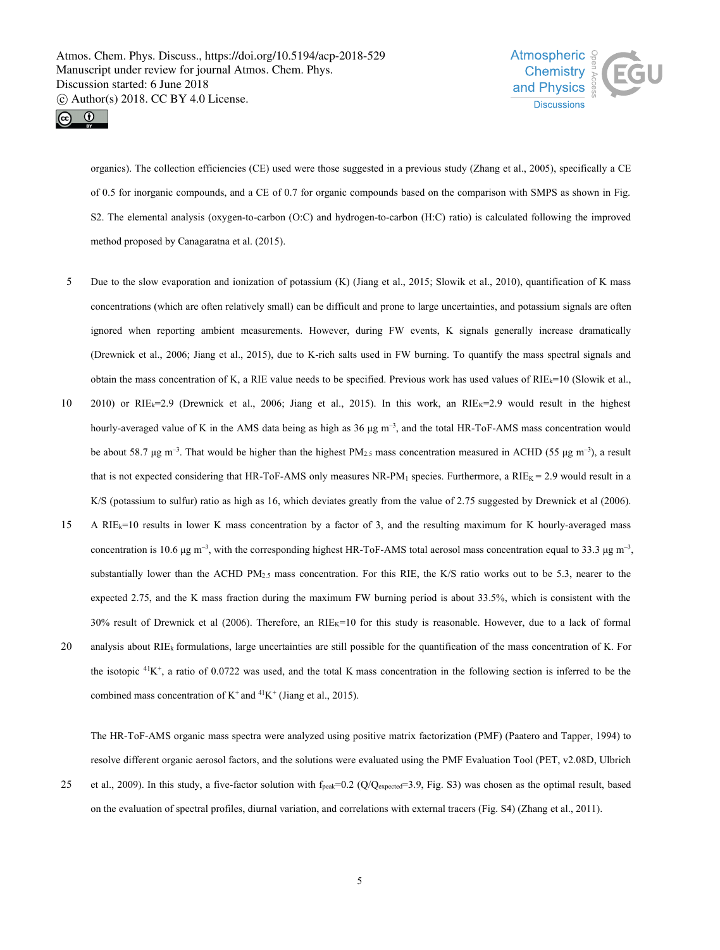



organics). The collection efficiencies (CE) used were those suggested in a previous study (Zhang et al., 2005), specifically a CE of 0.5 for inorganic compounds, and a CE of 0.7 for organic compounds based on the comparison with SMPS as shown in Fig. S2. The elemental analysis (oxygen-to-carbon (O:C) and hydrogen-to-carbon (H:C) ratio) is calculated following the improved method proposed by Canagaratna et al. (2015).

- 5 Due to the slow evaporation and ionization of potassium (K) (Jiang et al., 2015; Slowik et al., 2010), quantification of K mass concentrations (which are often relatively small) can be difficult and prone to large uncertainties, and potassium signals are often ignored when reporting ambient measurements. However, during FW events, K signals generally increase dramatically (Drewnick et al., 2006; Jiang et al., 2015), due to K-rich salts used in FW burning. To quantify the mass spectral signals and obtain the mass concentration of K, a RIE value needs to be specified. Previous work has used values of RIEk=10 (Slowik et al.,
- 10 2010) or RIE<sub>k</sub>=2.9 (Drewnick et al., 2006; Jiang et al., 2015). In this work, an RIE<sub>K</sub>=2.9 would result in the highest hourly-averaged value of K in the AMS data being as high as  $36 \mu g \, \text{m}^{-3}$ , and the total HR-ToF-AMS mass concentration would be about 58.7 µg m<sup>-3</sup>. That would be higher than the highest PM<sub>2.5</sub> mass concentration measured in ACHD (55 µg m<sup>-3</sup>), a result that is not expected considering that HR-ToF-AMS only measures NR-PM<sub>1</sub> species. Furthermore, a  $RIE_K = 2.9$  would result in a K/S (potassium to sulfur) ratio as high as 16, which deviates greatly from the value of 2.75 suggested by Drewnick et al (2006).
- 15 A RIEk=10 results in lower K mass concentration by a factor of 3, and the resulting maximum for K hourly-averaged mass concentration is 10.6  $\mu$ g m<sup>-3</sup>, with the corresponding highest HR-ToF-AMS total aerosol mass concentration equal to 33.3  $\mu$ g m<sup>-3</sup>, , substantially lower than the ACHD PM $_{2.5}$  mass concentration. For this RIE, the K/S ratio works out to be 5.3, nearer to the expected 2.75, and the K mass fraction during the maximum FW burning period is about 33.5%, which is consistent with the  $30\%$  result of Drewnick et al (2006). Therefore, an RIE $_{K}=10$  for this study is reasonable. However, due to a lack of formal
- 20 analysis about RIE<sub>k</sub> formulations, large uncertainties are still possible for the quantification of the mass concentration of K. For the isotopic  $4K^+$ , a ratio of 0.0722 was used, and the total K mass concentration in the following section is inferred to be the combined mass concentration of  $K^+$  and <sup>41</sup> $K^+$  (Jiang et al., 2015).

The HR-ToF-AMS organic mass spectra were analyzed using positive matrix factorization (PMF) (Paatero and Tapper, 1994) to resolve different organic aerosol factors, and the solutions were evaluated using the PMF Evaluation Tool (PET, v2.08D, Ulbrich

25 et al., 2009). In this study, a five-factor solution with  $f_{peak}=0.2$  (Q/Q<sub>expected</sub>=3.9, Fig. S3) was chosen as the optimal result, based on the evaluation of spectral profiles, diurnal variation, and correlations with external tracers (Fig. S4) (Zhang et al., 2011).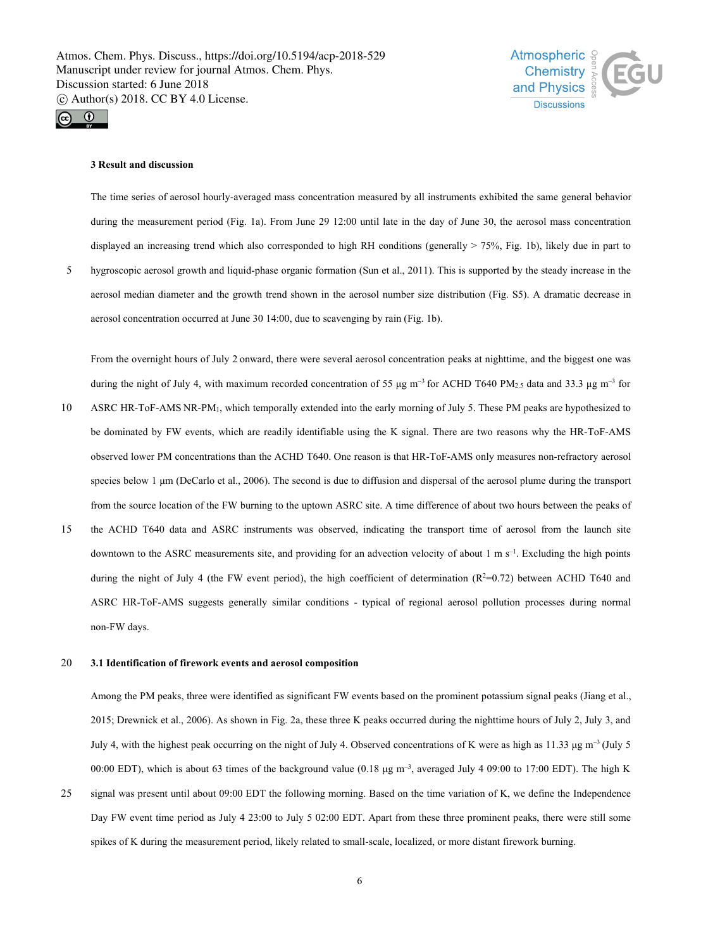



### **3 Result and discussion**

The time series of aerosol hourly-averaged mass concentration measured by all instruments exhibited the same general behavior during the measurement period (Fig. 1a). From June 29 12:00 until late in the day of June 30, the aerosol mass concentration displayed an increasing trend which also corresponded to high RH conditions (generally > 75%, Fig. 1b), likely due in part to

5 hygroscopic aerosol growth and liquid-phase organic formation (Sun et al., 2011). This is supported by the steady increase in the aerosol median diameter and the growth trend shown in the aerosol number size distribution (Fig. S5). A dramatic decrease in aerosol concentration occurred at June 30 14:00, due to scavenging by rain (Fig. 1b).

From the overnight hours of July 2 onward, there were several aerosol concentration peaks at nighttime, and the biggest one was during the night of July 4, with maximum recorded concentration of 55  $\mu$ g m<sup>-3</sup> for ACHD T640 PM<sub>2.5</sub> data and 33.3  $\mu$ g m<sup>-3</sup> for

- 10 ASRC HR-ToF-AMS NR-PM1, which temporally extended into the early morning of July 5. These PM peaks are hypothesized to be dominated by FW events, which are readily identifiable using the K signal. There are two reasons why the HR-ToF-AMS observed lower PM concentrations than the ACHD T640. One reason is that HR-ToF-AMS only measures non-refractory aerosol species below 1 μm (DeCarlo et al., 2006). The second is due to diffusion and dispersal of the aerosol plume during the transport from the source location of the FW burning to the uptown ASRC site. A time difference of about two hours between the peaks of
- 15 the ACHD T640 data and ASRC instruments was observed, indicating the transport time of aerosol from the launch site downtown to the ASRC measurements site, and providing for an advection velocity of about  $1 \text{ m s}^{-1}$ . Excluding the high points during the night of July 4 (the FW event period), the high coefficient of determination  $(R^2=0.72)$  between ACHD T640 and ASRC HR-ToF-AMS suggests generally similar conditions - typical of regional aerosol pollution processes during normal non-FW days.

# 20 **3.1 Identification of firework events and aerosol composition**

Among the PM peaks, three were identified as significant FW events based on the prominent potassium signal peaks (Jiang et al., 2015; Drewnick et al., 2006). As shown in Fig. 2a, these three K peaks occurred during the nighttime hours of July 2, July 3, and July 4, with the highest peak occurring on the night of July 4. Observed concentrations of K were as high as 11.33  $\mu$ g m<sup>-3</sup> (July 5) 00:00 EDT), which is about 63 times of the background value  $(0.18 \mu g m^{-3})$ , averaged July 4 09:00 to 17:00 EDT). The high K

25 signal was present until about 09:00 EDT the following morning. Based on the time variation of K, we define the Independence Day FW event time period as July 4 23:00 to July 5 02:00 EDT. Apart from these three prominent peaks, there were still some spikes of K during the measurement period, likely related to small-scale, localized, or more distant firework burning.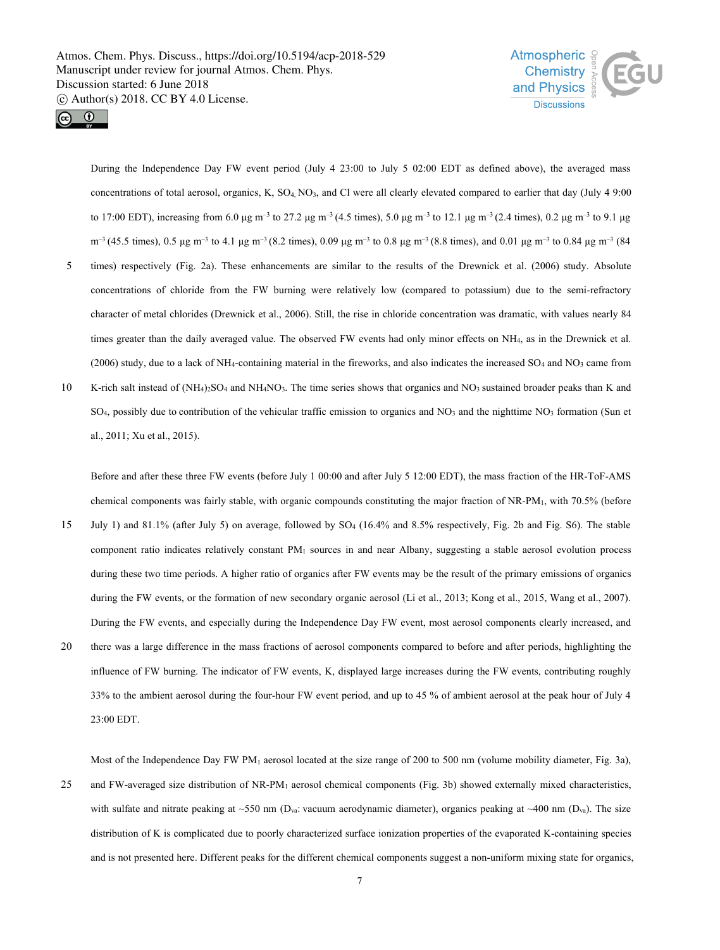



During the Independence Day FW event period (July 4 23:00 to July 5 02:00 EDT as defined above), the averaged mass concentrations of total aerosol, organics, K, SO4, NO3, and Cl were all clearly elevated compared to earlier that day (July 4 9:00 to 17:00 EDT), increasing from 6.0 μg m<sup>-3</sup> to 27.2 μg m<sup>-3</sup> (4.5 times), 5.0 μg m<sup>-3</sup> to 12.1 μg m<sup>-3</sup> (2.4 times), 0.2 μg m<sup>-3</sup> to 9.1 μg  $m^{-3}$  (45.5 times), 0.5 μg m<sup>-3</sup> to 4.1 μg m<sup>-3</sup> (8.2 times), 0.09 μg m<sup>-3</sup> to 0.8 μg m<sup>-3</sup> (8.8 times), and 0.01 μg m<sup>-3</sup> to 0.84 μg m<sup>-3</sup> (84

- 5 times) respectively (Fig. 2a). These enhancements are similar to the results of the Drewnick et al. (2006) study. Absolute concentrations of chloride from the FW burning were relatively low (compared to potassium) due to the semi-refractory character of metal chlorides (Drewnick et al., 2006). Still, the rise in chloride concentration was dramatic, with values nearly 84 times greater than the daily averaged value. The observed FW events had only minor effects on NH4, as in the Drewnick et al. (2006) study, due to a lack of NH<sub>4</sub>-containing material in the fireworks, and also indicates the increased  $SO_4$  and  $NO_3$  came from
- 10 K-rich salt instead of (NH<sub>4</sub>)<sub>2</sub>SO<sub>4</sub> and NH<sub>4</sub>NO<sub>3</sub>. The time series shows that organics and NO<sub>3</sub> sustained broader peaks than K and SO<sub>4</sub>, possibly due to contribution of the vehicular traffic emission to organics and NO<sub>3</sub> and the nighttime NO<sub>3</sub> formation (Sun et al., 2011; Xu et al., 2015).

Before and after these three FW events (before July 1 00:00 and after July 5 12:00 EDT), the mass fraction of the HR-ToF-AMS chemical components was fairly stable, with organic compounds constituting the major fraction of NR-PM1, with 70.5% (before

- 15 July 1) and 81.1% (after July 5) on average, followed by SO<sup>4</sup> (16.4% and 8.5% respectively, Fig. 2b and Fig. S6). The stable component ratio indicates relatively constant PM<sup>1</sup> sources in and near Albany, suggesting a stable aerosol evolution process during these two time periods. A higher ratio of organics after FW events may be the result of the primary emissions of organics during the FW events, or the formation of new secondary organic aerosol (Li et al., 2013; Kong et al., 2015, Wang et al., 2007). During the FW events, and especially during the Independence Day FW event, most aerosol components clearly increased, and
- 20 there was a large difference in the mass fractions of aerosol components compared to before and after periods, highlighting the influence of FW burning. The indicator of FW events, K, displayed large increases during the FW events, contributing roughly 33% to the ambient aerosol during the four-hour FW event period, and up to 45 % of ambient aerosol at the peak hour of July 4 23:00 EDT.

Most of the Independence Day FW PM<sub>1</sub> aerosol located at the size range of 200 to 500 nm (volume mobility diameter, Fig. 3a), 25 and FW-averaged size distribution of NR-PM<sup>1</sup> aerosol chemical components (Fig. 3b) showed externally mixed characteristics, with sulfate and nitrate peaking at ~550 nm (D<sub>va</sub>: vacuum aerodynamic diameter), organics peaking at ~400 nm (D<sub>va</sub>). The size distribution of K is complicated due to poorly characterized surface ionization properties of the evaporated K-containing species and is not presented here. Different peaks for the different chemical components suggest a non-uniform mixing state for organics,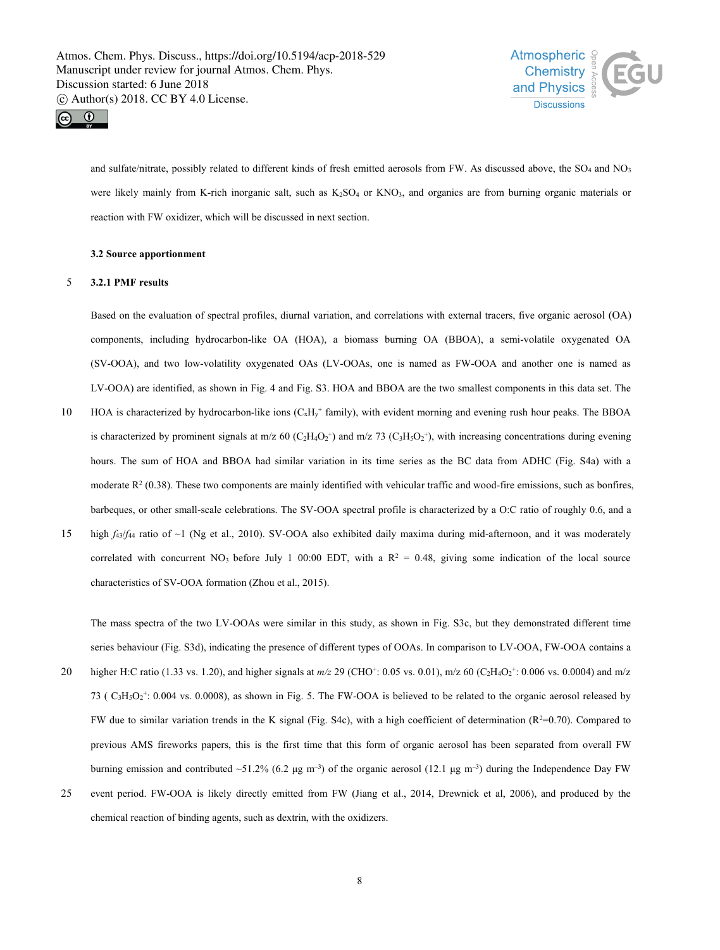



and sulfate/nitrate, possibly related to different kinds of fresh emitted aerosols from FW. As discussed above, the SO<sub>4</sub> and NO<sub>3</sub> were likely mainly from K-rich inorganic salt, such as  $K_2SO_4$  or  $KNO_3$ , and organics are from burning organic materials or reaction with FW oxidizer, which will be discussed in next section.

# **3.2 Source apportionment**

# 5 **3.2.1 PMF results**

Based on the evaluation of spectral profiles, diurnal variation, and correlations with external tracers, five organic aerosol (OA) components, including hydrocarbon-like OA (HOA), a biomass burning OA (BBOA), a semi-volatile oxygenated OA (SV-OOA), and two low-volatility oxygenated OAs (LV-OOAs, one is named as FW-OOA and another one is named as LV-OOA) are identified, as shown in Fig. 4 and Fig. S3. HOA and BBOA are the two smallest components in this data set. The

- HOA is characterized by hydrocarbon-like ions  $(C_xH_y + \text{family})$ , with evident morning and evening rush hour peaks. The BBOA is characterized by prominent signals at m/z 60 (C<sub>2</sub>H<sub>4</sub>O<sub>2</sub><sup>+</sup>) and m/z 73 (C<sub>3</sub>H<sub>3</sub>O<sub>2</sub><sup>+</sup>), with increasing concentrations during evening hours. The sum of HOA and BBOA had similar variation in its time series as the BC data from ADHC (Fig. S4a) with a moderate  $R<sup>2</sup>$  (0.38). These two components are mainly identified with vehicular traffic and wood-fire emissions, such as bonfires, barbeques, or other small-scale celebrations. The SV-OOA spectral profile is characterized by a O:C ratio of roughly 0.6, and a
- 15 high *f*43/*f*<sup>44</sup> ratio of ~1 (Ng et al., 2010). SV-OOA also exhibited daily maxima during mid-afternoon, and it was moderately correlated with concurrent NO<sub>3</sub> before July 1 00:00 EDT, with a  $R^2 = 0.48$ , giving some indication of the local source characteristics of SV-OOA formation (Zhou et al., 2015).

The mass spectra of the two LV-OOAs were similar in this study, as shown in Fig. S3c, but they demonstrated different time series behaviour (Fig. S3d), indicating the presence of different types of OOAs. In comparison to LV-OOA, FW-OOA contains a

- 20 higher H:C ratio (1.33 vs. 1.20), and higher signals at  $m/z$  29 (CHO<sup>+</sup>: 0.05 vs. 0.01), m/z 60 (C<sub>2</sub>H<sub>4</sub>O<sub>2</sub><sup>+</sup>: 0.006 vs. 0.0004) and m/z 73 ( $C_3H_3O_2$ <sup>+</sup>: 0.004 vs. 0.0008), as shown in Fig. 5. The FW-OOA is believed to be related to the organic aerosol released by FW due to similar variation trends in the K signal (Fig. S4c), with a high coefficient of determination  $(R^2=0.70)$ . Compared to previous AMS fireworks papers, this is the first time that this form of organic aerosol has been separated from overall FW burning emission and contributed ~51.2% (6.2 μg m<sup>-3</sup>) of the organic aerosol (12.1 μg m<sup>-3</sup>) during the Independence Day FW
- 25 event period. FW-OOA is likely directly emitted from FW (Jiang et al., 2014, Drewnick et al, 2006), and produced by the chemical reaction of binding agents, such as dextrin, with the oxidizers.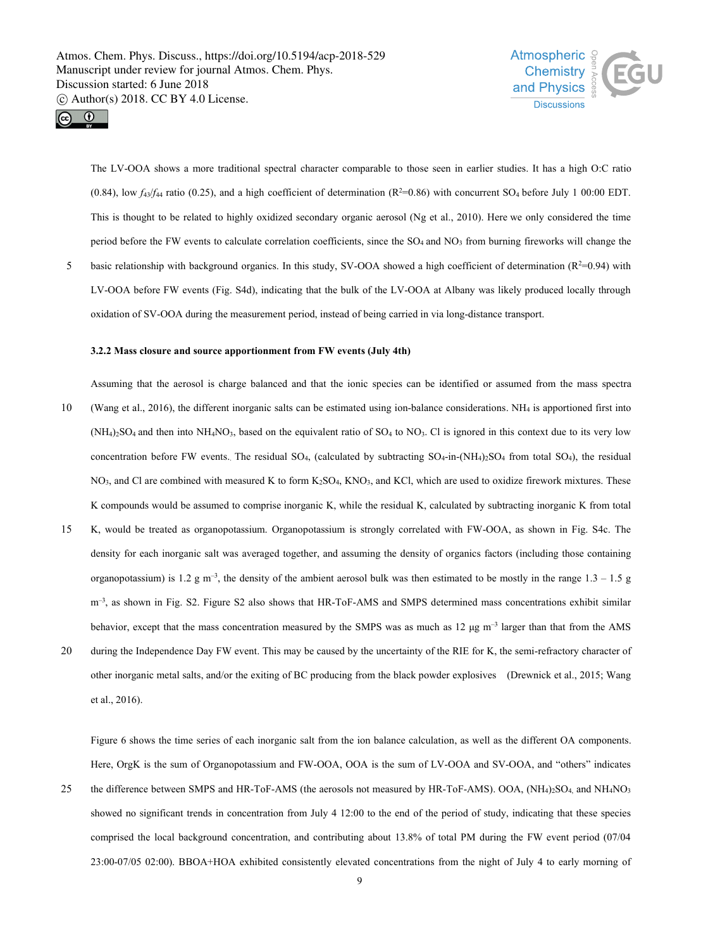



The LV-OOA shows a more traditional spectral character comparable to those seen in earlier studies. It has a high O:C ratio  $(0.84)$ , low  $f_4$ s/ $f_4$ <sub>4</sub> ratio  $(0.25)$ , and a high coefficient of determination  $(R^2=0.86)$  with concurrent SO<sub>4</sub> before July 1 00:00 EDT. This is thought to be related to highly oxidized secondary organic aerosol (Ng et al., 2010). Here we only considered the time period before the FW events to calculate correlation coefficients, since the SO<sub>4</sub> and NO<sub>3</sub> from burning fireworks will change the

5 basic relationship with background organics. In this study, SV-OOA showed a high coefficient of determination  $(R^2=0.94)$  with LV-OOA before FW events (Fig. S4d), indicating that the bulk of the LV-OOA at Albany was likely produced locally through oxidation of SV-OOA during the measurement period, instead of being carried in via long-distance transport.

# **3.2.2 Massclosure and source apportionment from FW events (July 4th)**

- Assuming that the aerosol is charge balanced and that the ionic species can beidentified or assumed from the mass spectra 10 (Wang et al., 2016), the different inorganic salts can be estimated using ion-balance considerations. NH<sub>4</sub> is apportioned first into  $(NH<sub>4</sub>)<sub>2</sub>SO<sub>4</sub>$  and then into  $NH<sub>4</sub>NO<sub>3</sub>$ , based on the equivalent ratio of SO<sub>4</sub> to NO<sub>3</sub>. Cl is ignored in this context due to its very low concentration before FW events. The residual SO<sub>4</sub>, (calculated by subtracting  $SO_4$ -in-(NH<sub>4</sub>)<sub>2</sub>SO<sub>4</sub> from total SO<sub>4</sub>), the residual NO3, and Cl are combined with measured K to form K2SO4, KNO3, and KCl, which are used to oxidize firework mixtures. These K compounds would be assumed to comprise inorganic K, while the residual K, calculated by subtracting inorganic K from total
- 15 K, would be treated as organopotassium. Organopotassium is strongly correlated with FW-OOA, as shown in Fig. S4c. The density for each inorganic salt was averaged together, and assuming the density of organics factors (including those containing organopotassium) is 1.2 g m<sup>-3</sup>, the density of the ambient aerosol bulk was then estimated to be mostly in the range 1.3 – 1.5 g m<sup>-3</sup>, as shown in Fig. S2. Figure S2 also shows that HR-ToF-AMS and SMPS determined mass concentrations exhibit similar behavior, except that the mass concentration measured by the SMPS was as much as  $12 \mu g m^{-3}$  larger than that from the AMS
- 20 during the Independence Day FW event. This may be caused by the uncertainty of the RIE for K, the semi-refractory character of other inorganic metal salts, and/or the exiting of BC producing from the black powder explosives (Drewnick et al., 2015; Wang et al., 2016).

Figure 6 shows the time series of each inorganic salt from the ion balance calculation, as well as the different OA components. Here, OrgK is the sum of Organopotassium and FW-OOA, OOA is the sum of LV-OOA and SV-OOA, and "others" indicates

25 the difference between SMPS and HR-ToF-AMS (the aerosols not measured by HR-ToF-AMS). OOA, (NH4)2SO4, and NH4NO3 showed no significant trends in concentration from July 4 12:00 to the end of the period of study, indicating that these species comprised the local background concentration, and contributing about 13.8% of total PM during the FW event period (07/04 23:00-07/05 02:00). BBOA+HOA exhibited consistently elevated concentrations from the night of July 4 to early morning of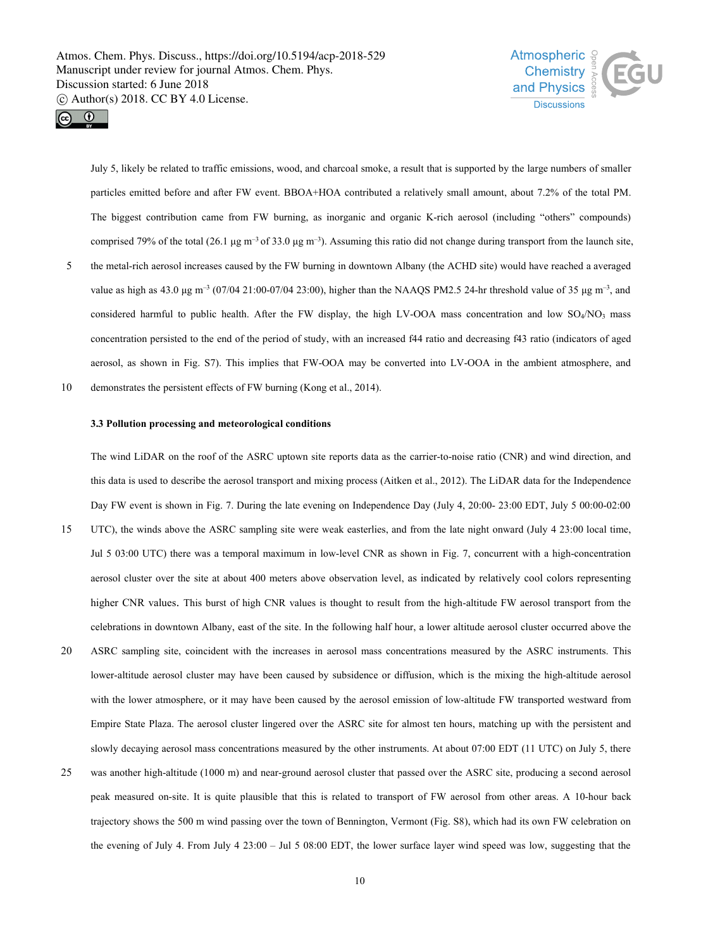



July 5, likely be related to traffic emissions, wood, and charcoal smoke, a result that is supported by the large numbers of smaller particles emitted before and after FW event. BBOA+HOA contributeda relatively small amount, about 7.2% of the total PM. The biggest contribution came from FW burning, as inorganic and organic K-rich aerosol (including "others" compounds) comprised 79% of the total (26.1 μg m<sup>-3</sup> of 33.0 μg m<sup>-3</sup>). Assuming this ratio did not change during transport from the launch site,

- 5 the metal-rich aerosol increases caused by the FW burning in downtown Albany (the ACHD site) would have reached a averaged value as high as 43.0 μg m<sup>-3</sup> (07/04 21:00-07/04 23:00), higher than the NAAQS PM2.5 24-hr threshold value of 35 μg m<sup>-3</sup>, and considered harmful to public health. After the FW display, the high LV-OOA mass concentration and low SO4/NO3 mass concentration persisted to the end of the period of study, with an increased f44 ratio and decreasing f43 ratio (indicators of aged aerosol, as shown in Fig. S7). This implies that FW-OOA may be converted into LV-OOA in the ambient atmosphere, and
- 10 demonstrates the persistent effects of FW burning (Kong et al., 2014).

# **3.3 Pollution processing and meteorological conditions**

The wind LiDAR on the roof of the ASRC uptown site reports data as the carrier-to-noise ratio (CNR) and wind direction, and this data is used to describe the aerosol transport and mixing process (Aitken et al., 2012). The LiDAR data for the Independence Day FW event is shown in Fig. 7. During the late evening on Independence Day (July 4, 20:00- 23:00 EDT, July 5 00:00-02:00

- 15 UTC), the winds above the ASRC sampling site were weak easterlies, and from the late night onward (July 4 23:00 localtime, Jul 5 03:00 UTC) there was a temporal maximum in low-level CNR as shown in Fig. 7, concurrent with a high-concentration aerosol cluster over the site at about 400 meters above observation level, as indicated by relatively cool colors representing higher CNR values. This burst of high CNR values is thought to result from the high-altitude FW aerosol transport from the celebrations in downtown Albany, east of the site. In the following half hour, a lower altitude aerosol cluster occurred above the
- 20 ASRC sampling site, coincident with the increases in aerosol mass concentrations measured by the ASRC instruments. This lower-altitude aerosol cluster may have been caused by subsidence or diffusion, which is the mixing the high-altitude aerosol with the lower atmosphere, or it may have been caused by the aerosol emission of low-altitude FW transported westward from Empire State Plaza. The aerosol cluster lingered over the ASRC site for almost ten hours, matching up with the persistent and slowly decaying aerosol mass concentrations measured by the other instruments. At about 07:00 EDT (11 UTC) on July 5, there
- 25 was another high-altitude (1000 m) and near-ground aerosol cluster that passed over the ASRC site, producing a second aerosol peak measured on-site. It is quite plausible that this is related to transport of FW aerosol from other areas. A 10-hour back trajectory shows the 500 m wind passing over the town of Bennington, Vermont (Fig. S8), which had its own FW celebration on the evening of July 4. From July 4 23:00 – Jul 5 08:00 EDT, the lower surface layer wind speed was low, suggesting that the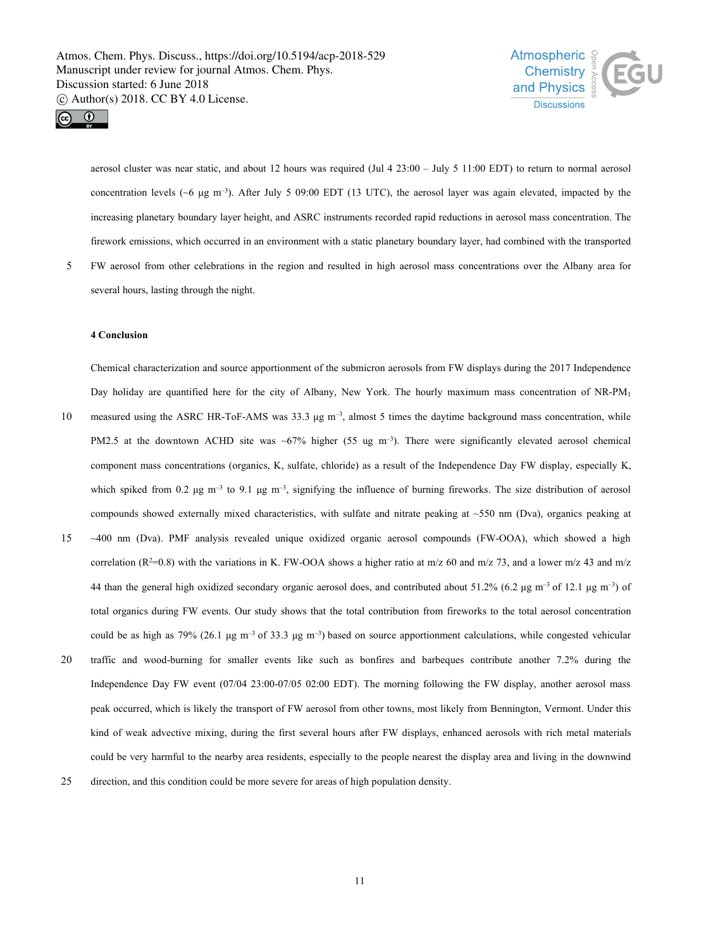



aerosol cluster was near static, and about 12 hours was required (Jul 4 23:00 – July 5 11:00 EDT) to return to normal aerosol concentration levels ( $\sim$ 6  $\mu$ g m<sup>-3</sup>). After July 5 09:00 EDT (13 UTC), the aerosol layer was again elevated, impacted by the increasing planetary boundary layer height, and ASRC instruments recorded rapid reductions in aerosol mass concentration. The firework emissions, which occurred in an environment with a static planetary boundary layer, had combined with the transported

5 FW aerosol from other celebrations in the region and resulted in high aerosol mass concentrations over the Albany area for several hours, lasting through the night.

# **4 Conclusion**

Chemical characterization and source apportionment of the submicron aerosols from FW displays during the 2017 Independence Day holiday are quantified here for the city of Albany, New York. The hourly maximum mass concentration of NR-PM<sub>1</sub>

- 10 measured using the ASRC HR-ToF-AMS was 33.3 μg m<sup>-3</sup>, almost 5 times the daytime background mass concentration, while PM2.5 at the downtown ACHD site was ~67% higher (55 ug m<sup>-3</sup>). There were significantly elevated aerosol chemical component mass concentrations (organics, K, sulfate, chloride) as a result of the Independence Day FW display, especially K, which spiked from 0.2  $\mu$ g m<sup>-3</sup> to 9.1  $\mu$ g m<sup>-3</sup>, signifying the influence of burning fireworks. The size distribution of aerosol compounds showed externally mixed characteristics, with sulfate and nitrate peaking at  $\sim$ 550 nm (Dva), organics peaking at
- 15 ~400 nm (Dva). PMF analysis revealed unique oxidized organic aerosol compounds (FW-OOA), which showed a high correlation ( $R^2=0.8$ ) with the variations in K. FW-OOA shows a higher ratio at m/z 60 and m/z 73, and a lower m/z 43 and m/z 44 than the general high oxidized secondary organic aerosol does, and contributed about 51.2% (6.2 μg m<sup>-3</sup> of 12.1 μg m<sup>-3</sup>) of total organics during FW events. Our study shows that the total contribution from fireworks to the total aerosol concentration could be as high as 79% (26.1 μg m<sup>-3</sup> of 33.3 μg m<sup>-3</sup>) based on source apportionment calculations, while congested vehicular
- 20 traffic and wood-burning for smaller events like such as bonfires and barbeques contribute another 7.2% during the Independence Day FW event (07/04 23:00-07/05 02:00 EDT). The morning following the FW display, another aerosol mass peak occurred, which is likely the transport of FW aerosol from other towns, most likely from Bennington, Vermont. Under this kind of weak advective mixing, during the first several hours after FW displays, enhanced aerosols with rich metal materials could be very harmful to the nearby area residents, especially to the people nearest the display area and living in the downwind
- 25 direction, and this condition could be more severe for areas of high population density.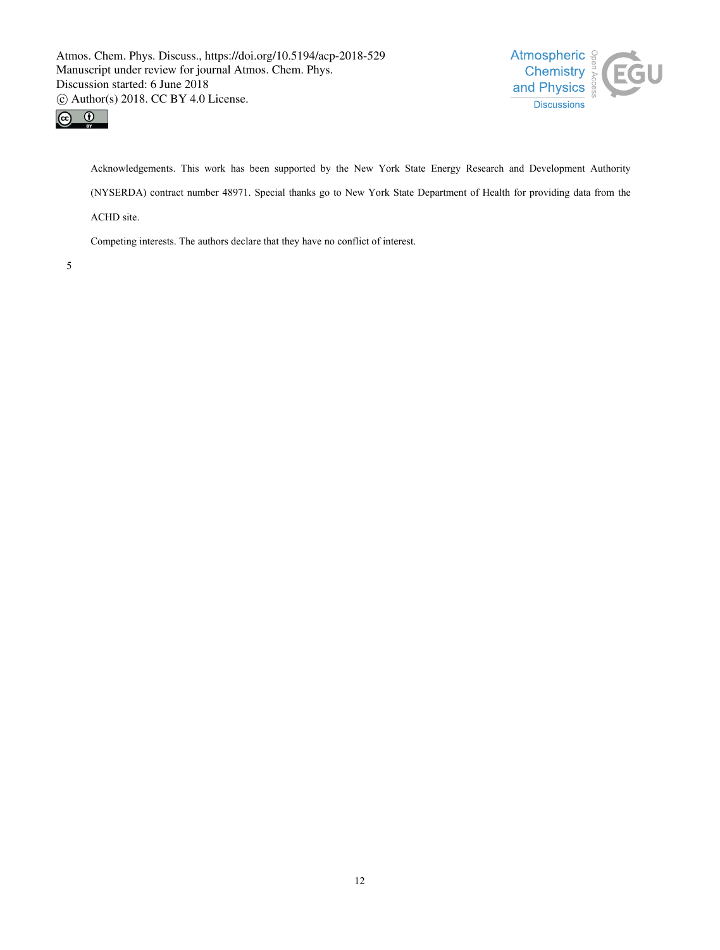



Acknowledgements. This work has been supported by the New York State Energy Research and Development Authority (NYSERDA) contract number 48971. Special thanks go to New York State Department of Health for providing data from the ACHD site.

Competing interests. The authors declare that they have no conflict of interest.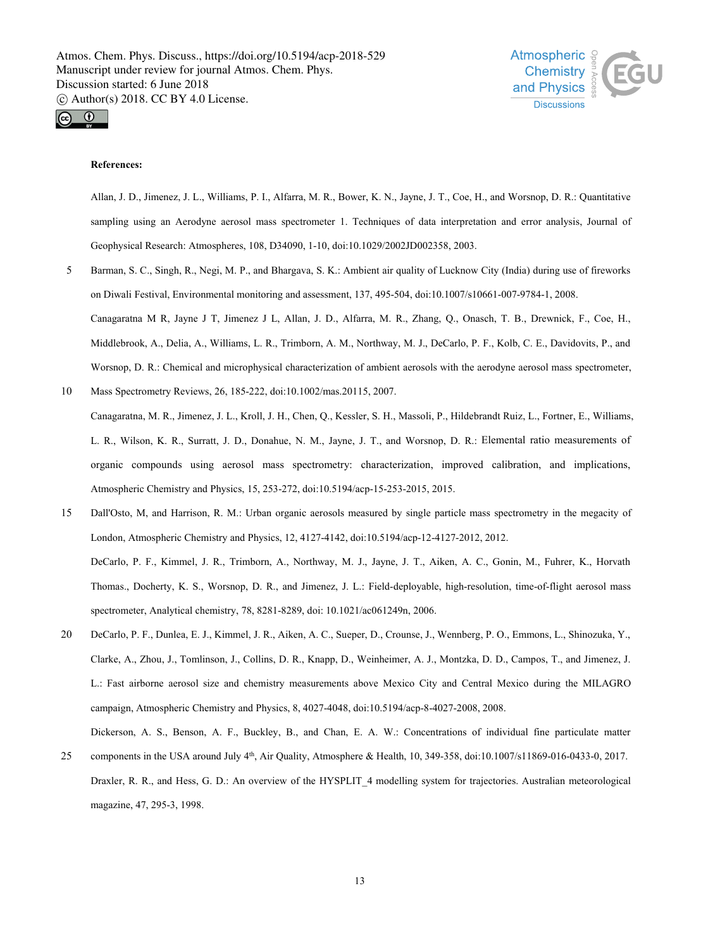



# **References:**

Allan, J. D., Jimenez, J. L., Williams, P. I., Alfarra, M. R., Bower, K. N., Jayne, J. T., Coe, H., and Worsnop, D. R.: Quantitative sampling using an Aerodyne aerosol mass spectrometer 1. Techniques of data interpretation and error analysis, Journal of Geophysical Research: Atmospheres, 108, D34090, 1-10, doi:10.1029/2002JD002358, 2003.

- 5 Barman, S. C., Singh, R., Negi, M. P., and Bhargava, S. K.: Ambient air quality of Lucknow City (India) during use of fireworks on Diwali Festival, Environmental monitoring and assessment, 137, 495-504, doi:10.1007/s10661-007-9784-1, 2008. Canagaratna M R, Jayne J T, Jimenez J L, Allan, J. D., Alfarra, M. R., Zhang, Q., Onasch, T. B., Drewnick, F., Coe, H., Middlebrook, A., Delia, A., Williams, L. R., Trimborn, A. M., Northway, M. J., DeCarlo, P. F., Kolb, C. E., Davidovits, P., and Worsnop, D. R.: Chemical and microphysical characterization of ambient aerosols with the aerodyne aerosol mass spectrometer,
- 10 Mass Spectrometry Reviews, 26, 185-222, doi:10.1002/mas.20115, 2007. Canagaratna, M. R., Jimenez, J. L., Kroll, J. H., Chen, Q., Kessler, S. H., Massoli, P., Hildebrandt Ruiz, L., Fortner, E., Williams, L. R., Wilson, K. R., Surratt, J. D., Donahue, N. M., Jayne, J. T., and Worsnop, D. R.: Elemental ratio measurements of organic compounds using aerosol mass spectrometry: characterization, improved calibration, and implications, Atmospheric Chemistry and Physics, 15, 253-272, doi:10.5194/acp-15-253-2015, 2015.
- 15 Dall'Osto, M, and Harrison, R. M.: Urban organic aerosols measured by single particle mass spectrometry in the megacity of London, Atmospheric Chemistry and Physics, 12, 4127-4142, doi:10.5194/acp-12-4127-2012, 2012. DeCarlo, P. F., Kimmel, J. R., Trimborn, A., Northway, M. J., Jayne, J. T., Aiken, A. C., Gonin, M., Fuhrer, K., Horvath Thomas., Docherty, K. S., Worsnop, D. R., and Jimenez, J. L.: Field-deployable, high-resolution, time-of-flight aerosol mass spectrometer, Analytical chemistry, 78, 8281-8289, doi: 10.1021/ac061249n, 2006.
- 20 DeCarlo, P. F., Dunlea, E. J., Kimmel, J. R., Aiken, A. C., Sueper, D., Crounse, J., Wennberg, P. O., Emmons, L., Shinozuka, Y., Clarke, A., Zhou, J., Tomlinson, J., Collins, D. R., Knapp, D., Weinheimer, A. J., Montzka, D. D., Campos, T., and Jimenez, J. L.: Fast airborne aerosol size and chemistry measurements above Mexico City and Central Mexico during the MILAGRO campaign, Atmospheric Chemistry and Physics, 8, 4027-4048, doi:10.5194/acp-8-4027-2008, 2008. Dickerson, A. S., Benson, A. F., Buckley, B., and Chan, E. A. W.: Concentrations of individual fine particulate matter
- 25 components in the USA around July  $4<sup>th</sup>$ , Air Quality, Atmosphere & Health, 10, 349-358, doi:10.1007/s11869-016-0433-0, 2017. Draxler, R. R., and Hess, G. D.: An overview of the HYSPLIT\_4 modelling system for trajectories. Australian meteorological magazine, 47, 295-3, 1998.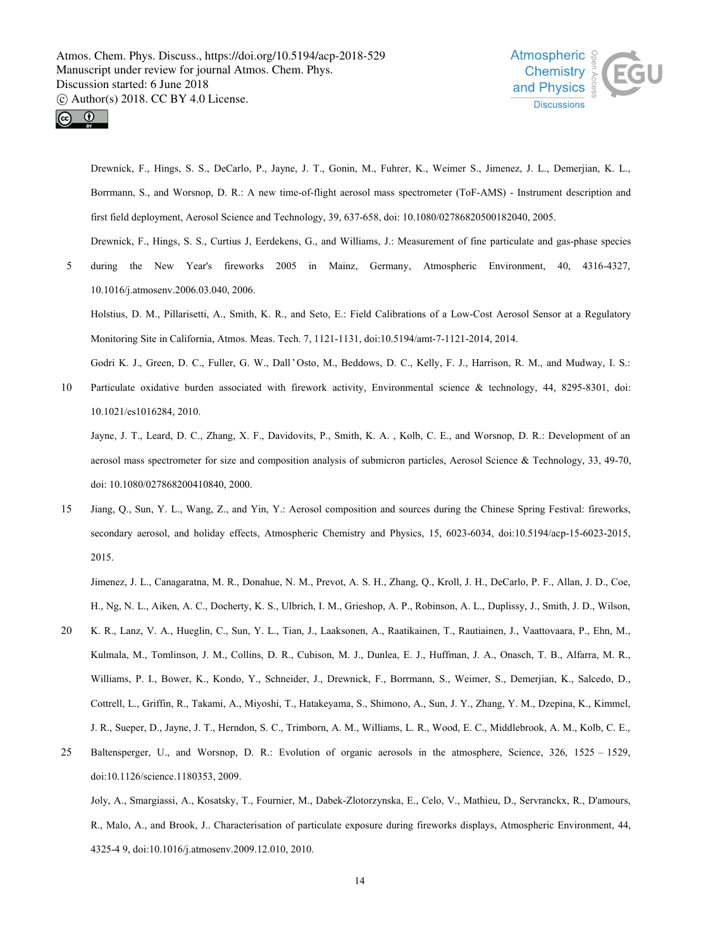



Drewnick, F., Hings, S. S., DeCarlo, P., Jayne, J. T., Gonin, M., Fuhrer, K., Weimer S., Jimenez, J. L., Demerjian, K. L., Borrmann, S., and Worsnop, D. R.: A new time-of-flight aerosol mass spectrometer (ToF-AMS) - Instrument description and first field deployment, Aerosol Science and Technology, 39, 637-658, doi: 10.1080/02786820500182040, 2005. Drewnick, F., Hings, S. S., Curtius J, Eerdekens, G., and Williams, J.: Measurement of fine particulate and gas-phase species

5 during the New Year's fireworks 2005 in Mainz, Germany, Atmospheric Environment, 40, 4316-4327, 10.1016/j.atmosenv.2006.03.040, 2006.

Holstius, D. M., Pillarisetti, A., Smith, K. R., and Seto, E.: Field Calibrations ofa Low-Cost Aerosol Sensor at a Regulatory Monitoring Site in California, Atmos. Meas. Tech. 7, 1121-1131, doi:10.5194/amt-7-1121-2014, 2014.

Godri K. J., Green, D. C., Fuller, G. W., Dall'Osto, M., Beddows, D. C., Kelly, F. J., Harrison, R. M., and Mudway, I. S.:

10 Particulate oxidative burden associated with firework activity, Environmental science & technology, 44, 8295-8301, doi: 10.1021/es1016284, 2010.

Jayne, J. T., Leard, D. C., Zhang, X. F., Davidovits, P., Smith, K. A. , Kolb, C. E., and Worsnop, D. R.: Development of an aerosol mass spectrometer for size and composition analysis of submicron particles, Aerosol Science & Technology, 33, 49-70, doi: 10.1080/027868200410840, 2000.

15 Jiang, Q., Sun, Y. L., Wang, Z., and Yin, Y.: Aerosol composition and sources during the Chinese Spring Festival: fireworks, secondary aerosol, and holiday effects, Atmospheric Chemistry and Physics, 15, 6023-6034, doi:10.5194/acp-15-6023-2015, 2015.

Jimenez, J. L., Canagaratna, M. R., Donahue, N. M., Prevot, A. S. H., Zhang, Q., Kroll, J. H., DeCarlo, P. F., Allan, J. D., Coe, H., Ng, N. L., Aiken, A. C., Docherty, K. S., Ulbrich, I. M., Grieshop, A. P., Robinson, A. L., Duplissy, J., Smith, J. D., Wilson,

- 20 K. R., Lanz, V. A., Hueglin, C., Sun, Y. L., Tian, J., Laaksonen, A., Raatikainen, T., Rautiainen, J., Vaattovaara, P., Ehn, M., Kulmala, M., Tomlinson, J. M., Collins, D. R., Cubison, M. J., Dunlea, E. J., Huffman, J. A., Onasch, T. B., Alfarra, M. R., Williams, P. I., Bower, K., Kondo, Y., Schneider, J., Drewnick, F., Borrmann, S., Weimer, S., Demerjian, K., Salcedo, D., Cottrell, L., Griffin, R., Takami, A., Miyoshi, T., Hatakeyama, S., Shimono, A., Sun, J. Y., Zhang, Y. M., Dzepina, K., Kimmel, J. R., Sueper, D., Jayne, J. T., Herndon, S. C., Trimborn, A. M., Williams, L. R., Wood, E. C., Middlebrook, A. M., Kolb, C. E.,
- 25 Baltensperger, U., and Worsnop, D. R.: Evolution of organic aerosols in the atmosphere, Science, 326, 1525 1529, doi:10.1126/science.1180353, 2009.

Joly, A., Smargiassi, A., Kosatsky, T., Fournier, M., Dabek-Zlotorzynska, E., Celo, V., Mathieu, D., Servranckx, R., D'amours, R., Malo, A., and Brook, J.. Characterisation of particulate exposure during fireworks displays, Atmospheric Environment, 44, 4325-4 9, doi:10.1016/j.atmosenv.2009.12.010, 2010.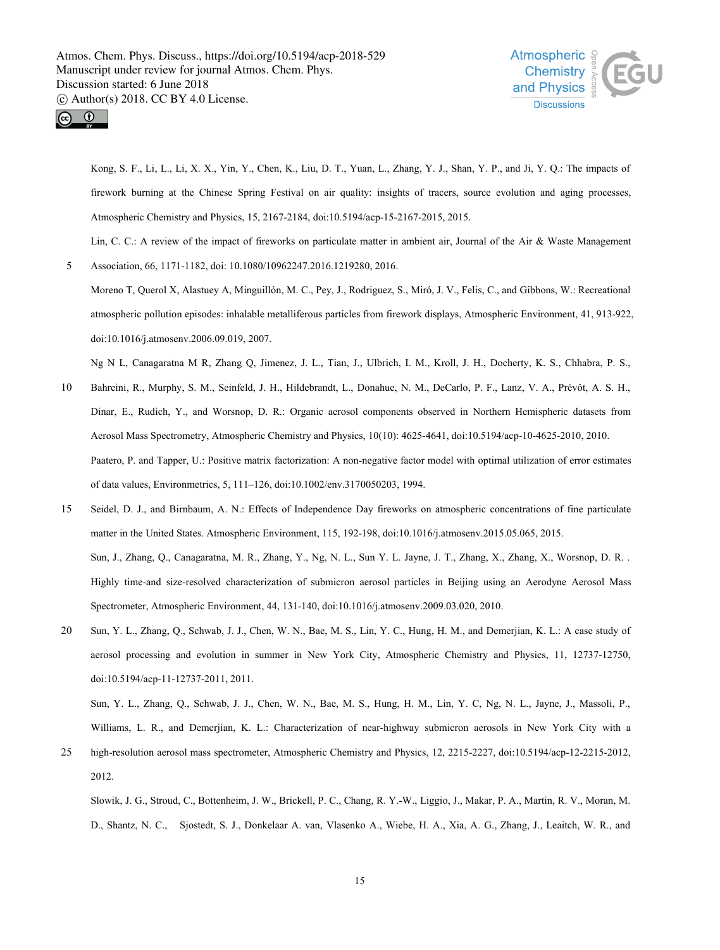



Kong, S. F., Li, L., Li, X. X., Yin, Y., Chen, K., Liu, D. T., Yuan, L., Zhang, Y. J., Shan, Y. P., and Ji, Y. Q.: The impacts of firework burning at the Chinese Spring Festival on air quality: insights of tracers, source evolution and aging processes, Atmospheric Chemistry and Physics, 15, 2167-2184, doi:10.5194/acp-15-2167-2015, 2015.

Lin, C. C.: A review of the impact of fireworks on particulate matter in ambient air, Journal of the Air & Waste Management

5 Association, 66, 1171-1182, doi: 10.1080/10962247.2016.1219280, 2016.

Moreno T, Querol X, Alastuey A, Minguillón, M. C., Pey, J., Rodriguez, S., Miró, J. V., Felis, C., and Gibbons, W.: Recreational atmospheric pollution episodes: inhalable metalliferous particles from firework displays, Atmospheric Environment, 41, 913-922, doi:10.1016/j.atmosenv.2006.09.019, 2007.

Ng N L, Canagaratna M R, Zhang Q, Jimenez, J. L., Tian, J., Ulbrich, I. M., Kroll, J. H., Docherty, K. S., Chhabra, P. S.,

- 10 Bahreini, R., Murphy, S. M., Seinfeld, J. H., Hildebrandt, L., Donahue, N. M., DeCarlo, P. F., Lanz, V. A., Prévôt, A. S. H., Dinar, E., Rudich, Y., and Worsnop, D. R.: Organic aerosol components observed in Northern Hemispheric datasets from Aerosol Mass Spectrometry, Atmospheric Chemistry and Physics, 10(10): 4625-4641, doi:10.5194/acp-10-4625-2010, 2010. Paatero, P. and Tapper, U.: Positive matrix factorization: A non-negative factor model with optimal utilization of error estimates of data values, Environmetrics, 5, 111–126, doi:10.1002/env.3170050203, 1994.
- 15 Seidel, D. J., and Birnbaum, A. N.: Effects of Independence Day fireworks on atmospheric concentrations of fine particulate matter in the United States. Atmospheric Environment, 115, 192-198, doi:10.1016/j.atmosenv.2015.05.065, 2015. Sun, J., Zhang, Q., Canagaratna, M. R., Zhang, Y., Ng, N. L., Sun Y. L. Jayne, J. T., Zhang, X., Zhang, X., Worsnop, D. R. . Highly time-and size-resolved characterization of submicron aerosol particles in Beijing using an Aerodyne Aerosol Mass Spectrometer, Atmospheric Environment, 44, 131-140, doi:10.1016/j.atmosenv.2009.03.020, 2010.
- 20 Sun, Y. L., Zhang, Q., Schwab, J. J., Chen, W. N., Bae, M. S., Lin, Y. C., Hung, H. M., and Demerjian, K. L.: A case study of aerosol processing and evolution in summer in New York City, Atmospheric Chemistry and Physics, 11, 12737-12750, doi:10.5194/acp-11-12737-2011, 2011.

Sun, Y. L., Zhang, Q., Schwab, J. J., Chen, W. N., Bae, M. S., Hung, H. M., Lin, Y. C, Ng, N. L., Jayne, J., Massoli, P., Williams, L. R., and Demerjian, K. L.: Characterization of near-highway submicron aerosols in New York City with a

25 high-resolution aerosol mass spectrometer, Atmospheric Chemistry and Physics, 12, 2215-2227, doi:10.5194/acp-12-2215-2012, 2012.

Slowik, J. G., Stroud, C., Bottenheim, J. W., Brickell, P. C., Chang, R. Y.-W., Liggio, J., Makar, P. A., Martin, R. V., Moran, M. D., Shantz, N. C., Sjostedt, S. J., Donkelaar A. van, Vlasenko A., Wiebe, H. A., Xia, A. G., Zhang, J., Leaitch, W. R., and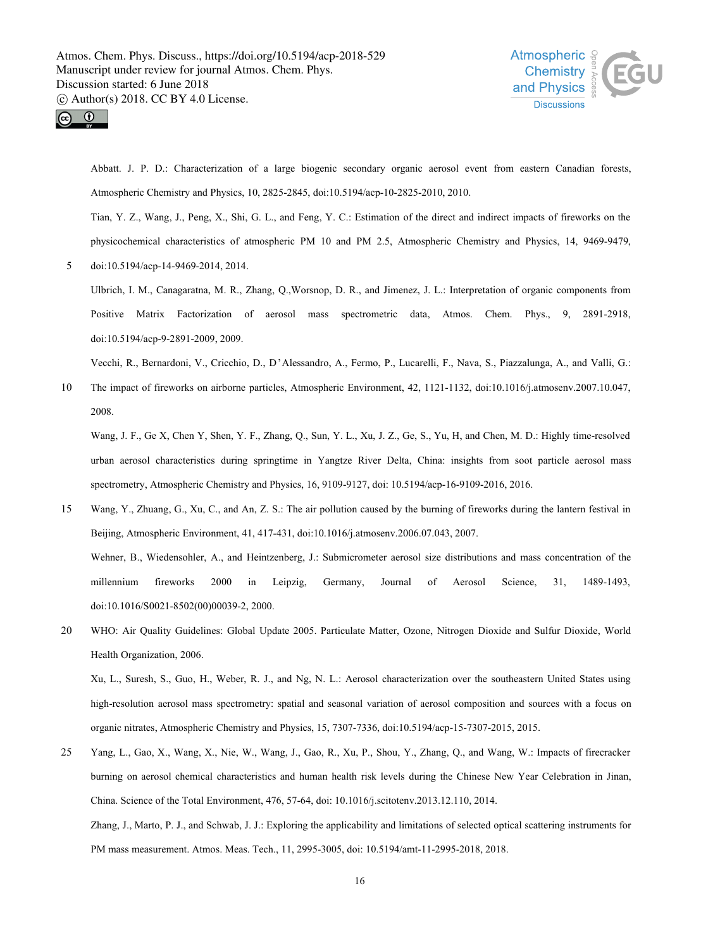



Abbatt. J. P. D.: Characterization of a large biogenic secondary organic aerosol event from eastern Canadian forests, Atmospheric Chemistry and Physics, 10, 2825-2845, doi:10.5194/acp-10-2825-2010, 2010.

Tian, Y. Z., Wang, J., Peng, X., Shi, G. L., and Feng, Y. C.: Estimation of the direct and indirect impacts of fireworks on the physicochemical characteristics of atmospheric PM 10 and PM 2.5, Atmospheric Chemistry and Physics, 14, 9469-9479,

5 doi:10.5194/acp-14-9469-2014, 2014.

Ulbrich, I. M., Canagaratna, M. R., Zhang, Q.,Worsnop, D. R., and Jimenez, J. L.: Interpretation of organic components from Positive Matrix Factorization of aerosol mass spectrometric data, Atmos. Chem. Phys., 9, 2891-2918, doi:10.5194/acp-9-2891-2009, 2009.

Vecchi, R., Bernardoni, V., Cricchio, D., D'Alessandro, A., Fermo, P., Lucarelli, F., Nava, S., Piazzalunga, A., and Valli, G.:

10 The impact of fireworks on airborne particles, Atmospheric Environment, 42, 1121-1132, doi:10.1016/j.atmosenv.2007.10.047, 2008.

Wang, J. F., Ge X, Chen Y, Shen, Y. F., Zhang, Q., Sun, Y. L., Xu, J. Z., Ge, S., Yu, H, and Chen, M. D.: Highly time-resolved urban aerosol characteristics during springtime in Yangtze River Delta, China: insights from soot particle aerosol mass spectrometry, Atmospheric Chemistry and Physics, 16, 9109-9127, doi: 10.5194/acp-16-9109-2016, 2016.

- 15 Wang, Y., Zhuang, G., Xu, C., and An, Z. S.: The air pollution caused by the burning of fireworks during the lantern festival in Beijing, Atmospheric Environment, 41, 417-431, doi:10.1016/j.atmosenv.2006.07.043, 2007. Wehner, B., Wiedensohler, A., and Heintzenberg, J.: Submicrometer aerosol size distributions and mass concentration of the millennium fireworks 2000 in Leipzig, Germany, Journal of Aerosol Science, 31, 1489-1493, doi:10.1016/S0021-8502(00)00039-2, 2000.
- 20 WHO: Air Quality Guidelines:Global Update 2005. Particulate Matter, Ozone, Nitrogen Dioxide and Sulfur Dioxide, World Health Organization, 2006.

Xu, L., Suresh, S., Guo, H., Weber, R. J., and Ng, N. L.: Aerosol characterization over the southeastern United States using high-resolution aerosol mass spectrometry: spatial and seasonal variation of aerosol composition and sources with a focus on organic nitrates, Atmospheric Chemistry and Physics, 15, 7307-7336, doi:10.5194/acp-15-7307-2015, 2015.

25 Yang, L., Gao, X., Wang, X., Nie, W., Wang, J., Gao, R., Xu, P., Shou, Y., Zhang, Q., and Wang, W.: Impacts offirecracker burning on aerosol chemical characteristics and human health risk levels during the Chinese New Year Celebration in Jinan, China. Science of the Total Environment, 476, 57-64, doi: 10.1016/j.scitotenv.2013.12.110, 2014.

Zhang, J., Marto, P. J., and Schwab, J. J.: Exploring the applicability and limitations of selected optical scattering instruments for PM mass measurement. Atmos. Meas. Tech., 11, 2995-3005, doi: 10.5194/amt-11-2995-2018, 2018.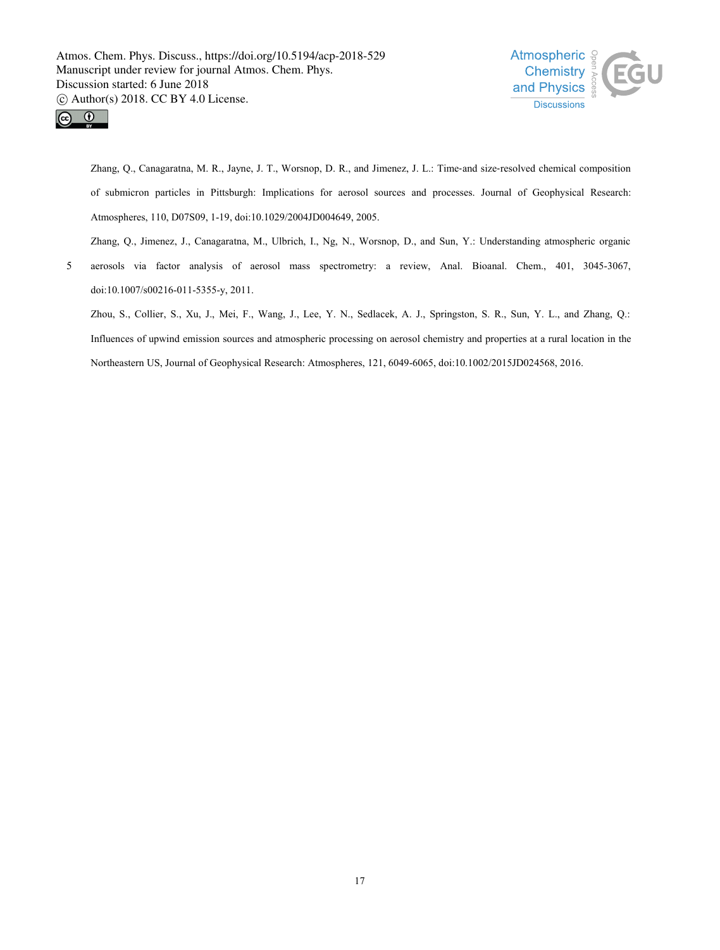



Zhang, Q., Canagaratna, M. R., Jayne, J. T., Worsnop, D. R., and Jimenez, J. L.: Time-and size-resolved chemical composition of submicron particles in Pittsburgh: Implications for aerosol sources and processes. Journal of Geophysical Research: Atmospheres, 110, D07S09, 1-19, doi:10.1029/2004JD004649, 2005.

Zhang, Q., Jimenez, J., Canagaratna, M., Ulbrich, I., Ng, N., Worsnop, D., and Sun, Y.: Understanding atmospheric organic

5 aerosols via factor analysis of aerosol mass spectrometry: a review, Anal. Bioanal. Chem., 401, 3045-3067, doi:10.1007/s00216-011-5355-y, 2011.

Zhou, S., Collier, S., Xu, J., Mei, F., Wang, J., Lee, Y. N., Sedlacek, A. J., Springston, S. R., Sun, Y. L., and Zhang, Q.: Influences of upwind emission sources and atmospheric processing on aerosol chemistry and properties at a rural location in the Northeastern US, Journal of Geophysical Research: Atmospheres, 121, 6049-6065, doi:10.1002/2015JD024568, 2016.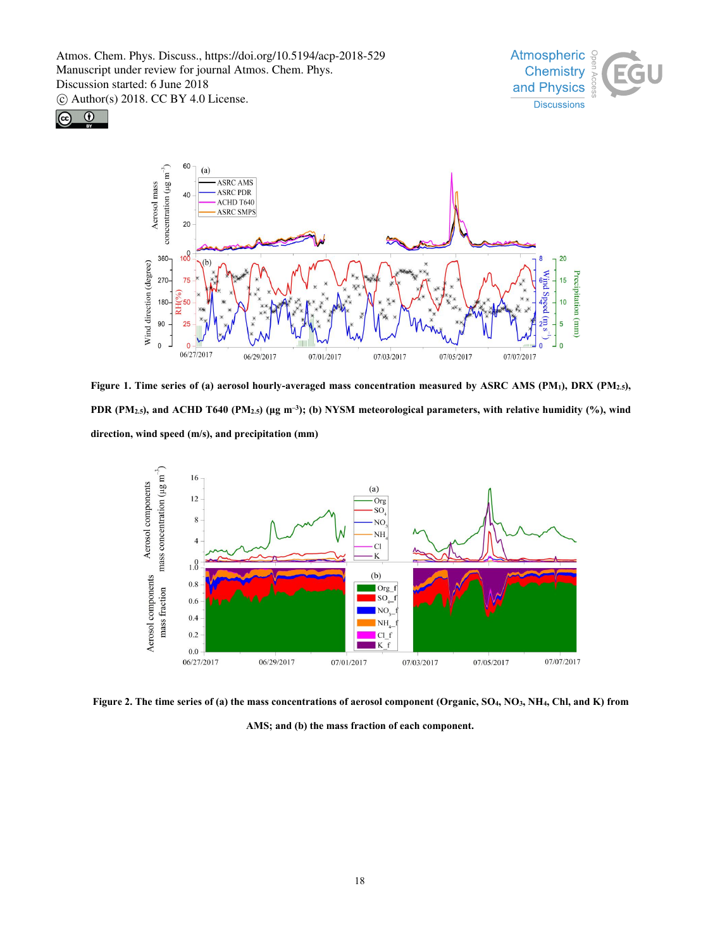





Figure 1. Time series of (a) aerosol hourly-averaged mass concentration measured by ASRC AMS (PM1), DRX (PM2.5), PDR (PM<sub>2.5</sub>), and ACHD T640 (PM<sub>2.5</sub>) (µg m<sup>-3</sup>); (b) NYSM meteorological parameters, with relative humidity (%), wind **direction, wind speed (m/s), and precipitation (mm)**



Figure 2. The time series of (a) the mass concentrations of aerosol component (Organic, SO<sub>4</sub>, NO<sub>3</sub>, NH<sub>4</sub>, Chl, and K) from

**AMS; and (b) the mass fraction of each component.**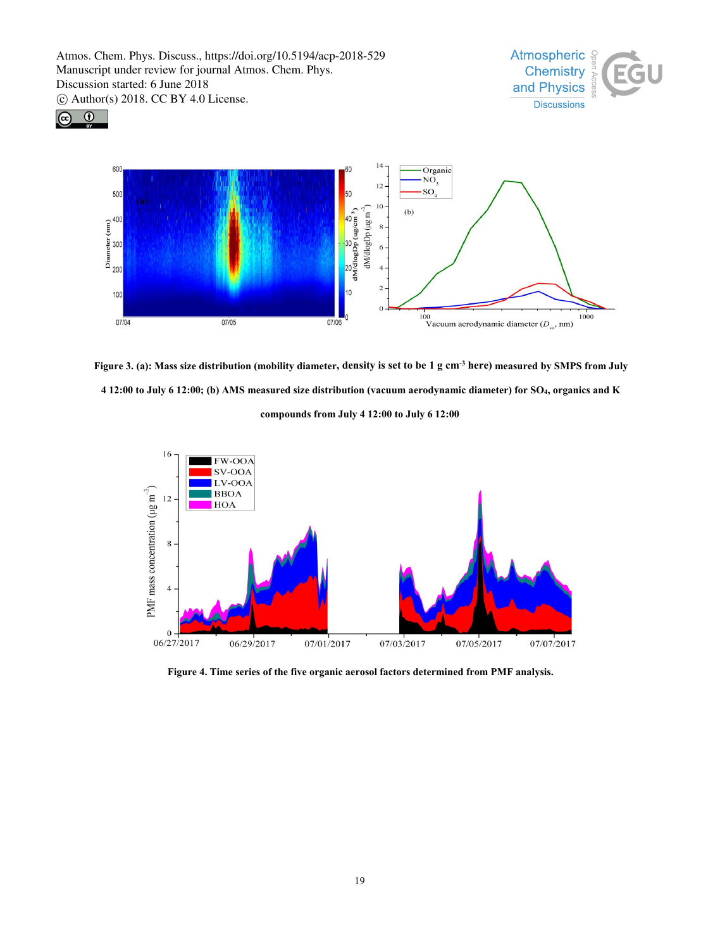





Figure 3. (a): Mass size distribution (mobility diameter, density is set to be 1 g cm<sup>-3</sup> here) measured by SMPS from July 4 12:00 to July 6 12:00; (b) AMS measured size distribution (vacuum aerodynamic diameter) for SO<sub>4</sub>, organics and K **compounds from July 4 12:00 to July 6 12:00**



**Figure 4. Time series of the five organic aerosol factors determined from PMF analysis.**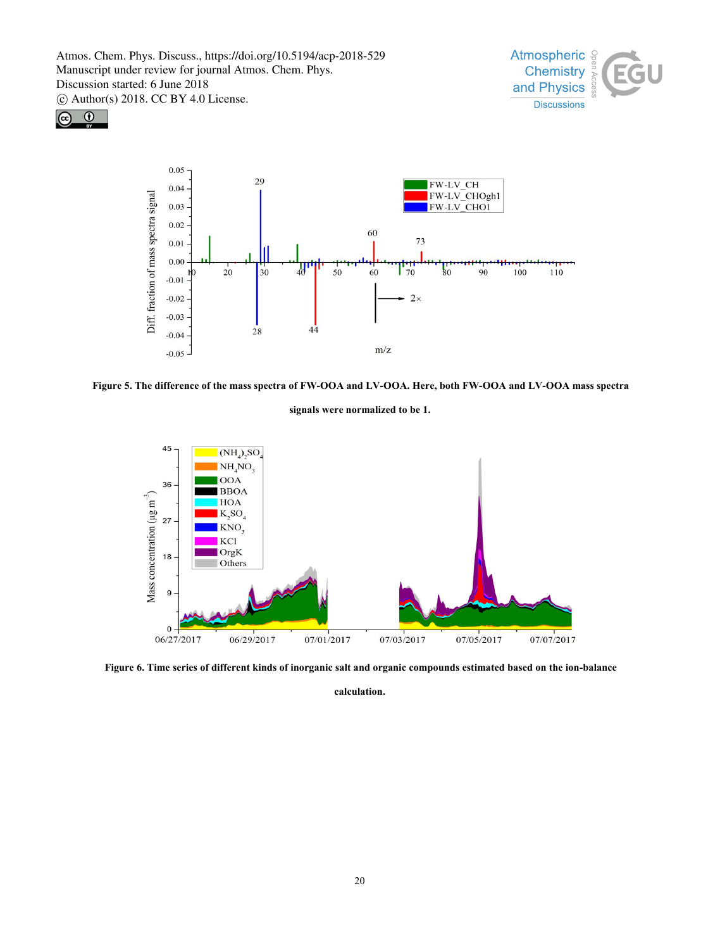





Figure 5. The difference of the mass spectra of FW-OOA and LV-OOA. Here, both FW-OOA and LV-OOA mass spectra

**signals were normalized to be1.**



Figure 6. Time series of different kinds of inorganic salt and organic compounds estimated based on the ion-balance

**calculation.**